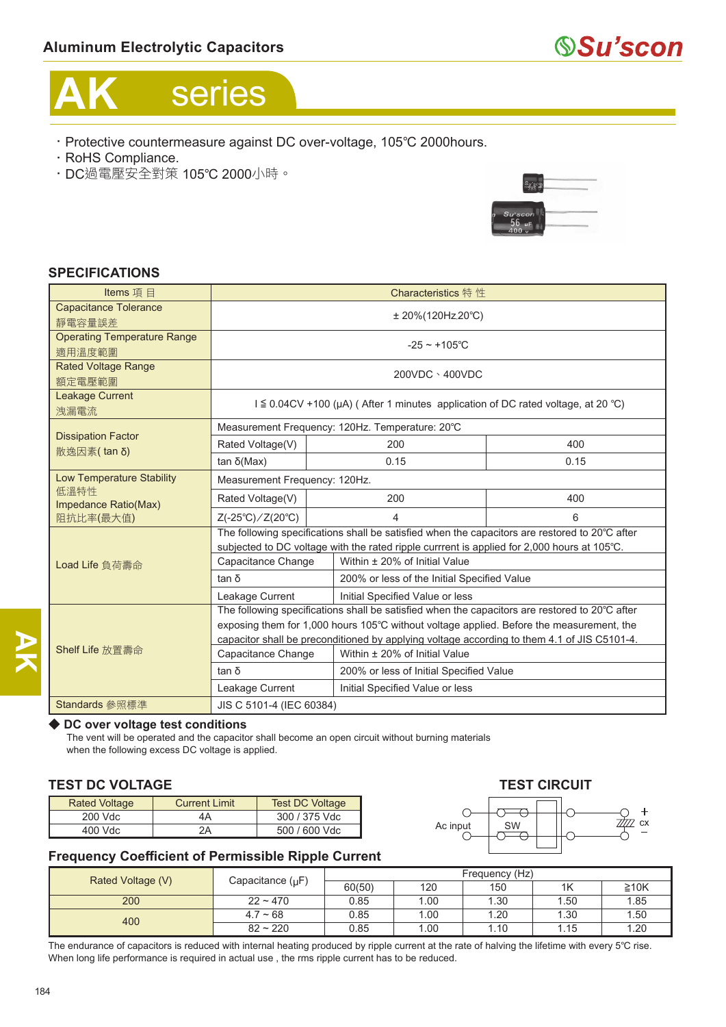# **AK** series

- ‧Protective countermeasure against DC over-voltage, 105℃ 2000hours.
- ‧RoHS Compliance.
- ‧DC過電壓安全對策 105℃ 2000小時。



## **SPECIFICATIONS**

| Items 項目                                  | Characteristics 特 性                                                                            |                                             |                                         |      |  |
|-------------------------------------------|------------------------------------------------------------------------------------------------|---------------------------------------------|-----------------------------------------|------|--|
| <b>Capacitance Tolerance</b>              |                                                                                                |                                             |                                         |      |  |
| 靜電容量誤差                                    | $± 20\% (120Hz, 20°C)$                                                                         |                                             |                                         |      |  |
| <b>Operating Temperature Range</b>        | $-25 \sim +105^{\circ}$ C                                                                      |                                             |                                         |      |  |
| 適用溫度範圍                                    |                                                                                                |                                             |                                         |      |  |
| <b>Rated Voltage Range</b>                | 200VDC \400VDC                                                                                 |                                             |                                         |      |  |
| 額定電壓範圍                                    |                                                                                                |                                             |                                         |      |  |
| Leakage Current<br>洩漏電流                   | $I \leq 0.04$ CV +100 (µA) (After 1 minutes application of DC rated voltage, at 20 °C)         |                                             |                                         |      |  |
| <b>Dissipation Factor</b><br>散逸因素 (tan δ) | Measurement Frequency: 120Hz. Temperature: 20°C                                                |                                             |                                         |      |  |
|                                           | Rated Voltage(V)                                                                               | 200                                         |                                         | 400  |  |
|                                           | tan δ(Max)                                                                                     | 0.15                                        |                                         | 0.15 |  |
| <b>Low Temperature Stability</b>          | Measurement Frequency: 120Hz.                                                                  |                                             |                                         |      |  |
| 低溫特性<br>Impedance Ratio(Max)              | Rated Voltage(V)                                                                               | 200                                         |                                         | 400  |  |
| 阻抗比率(最大值)                                 | $Z(-25^{\circ}\text{C})/Z(20^{\circ}\text{C})$                                                 | 4<br>6                                      |                                         |      |  |
|                                           | The following specifications shall be satisfied when the capacitors are restored to 20°C after |                                             |                                         |      |  |
|                                           | subjected to DC voltage with the rated ripple currrent is applied for 2,000 hours at 105°C.    |                                             |                                         |      |  |
| Load Life 負荷壽命                            | Capacitance Change                                                                             |                                             | Within ± 20% of Initial Value           |      |  |
|                                           | tan δ                                                                                          | 200% or less of the Initial Specified Value |                                         |      |  |
|                                           | Leakage Current<br>Initial Specified Value or less                                             |                                             |                                         |      |  |
|                                           | The following specifications shall be satisfied when the capacitors are restored to 20°C after |                                             |                                         |      |  |
| Shelf Life 放置壽命                           | exposing them for 1,000 hours 105°C without voltage applied. Before the measurement, the       |                                             |                                         |      |  |
|                                           | capacitor shall be preconditioned by applying voltage according to them 4.1 of JIS C5101-4.    |                                             |                                         |      |  |
|                                           | Capacitance Change                                                                             |                                             | Within ± 20% of Initial Value           |      |  |
|                                           | tan δ                                                                                          |                                             | 200% or less of Initial Specified Value |      |  |
|                                           | Leakage Current                                                                                |                                             | Initial Specified Value or less         |      |  |
| Standards 參照標準                            | JIS C 5101-4 (IEC 60384)                                                                       |                                             |                                         |      |  |

### ◆ DC over voltage test conditions

The vent will be operated and the capacitor shall become an open circuit without burning materials when the following excess DC voltage is applied.

### **TEST DC VOLTAGE TEST CIRCUIT**

| <b>Rated Voltage</b> | <b>Current Limit</b> | <b>Test DC Voltage</b> |
|----------------------|----------------------|------------------------|
| 200 Vdc              | 4Α                   | 300 / 375 Vdc          |
| 400 Vdc              | 2Α                   | 500 / 600 Vdc          |



## **Frequency Coefficient of Permissible Ripple Current**

|                   |                       | Frequency (Hz) |      |      |      |            |
|-------------------|-----------------------|----------------|------|------|------|------------|
| Rated Voltage (V) | Capacitance $(\mu F)$ | 60(50)         | 120  | 150  | 1K   | $\geq 10K$ |
| 200               | $22 - 470$            | 0.85           | 1.00 | 1.30 | 1.50 | 1.85       |
| 400               | $4.7 - 68$            | 0.85           | 1.00 | 1.20 | 1.30 | 1.50       |
|                   | $82 - 220$            | 0.85           | .00  | 1.10 | 1.15 | 1.20       |

The endurance of capacitors is reduced with internal heating produced by ripple current at the rate of halving the lifetime with every 5℃ rise. When long life performance is required in actual use , the rms ripple current has to be reduced.